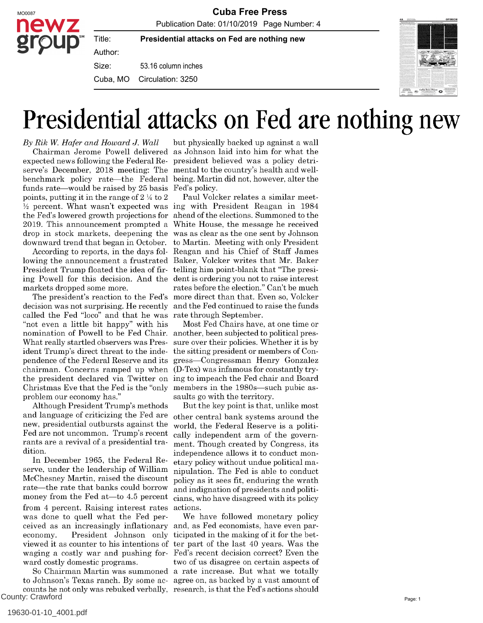**Presidential attacks on Fed are nothing new**

53.16 column inches Size:

Cuba, MO Circulation: 3250



### Presidential attacks on Fed are nothing new

By Rik W. Hafer and Howard J. Wall expected news following the Federal Re-president believed was a policy detriserve's December, 2018 meeting: The benchmark policy rate-the Federal funds rate—would be raised by 25 basis points, putting it in the range of 2 ¼ to 2 ½ percent. What wasn't expected was ing with President Reagan in 1984 the Fed's lowered growth projections for ahead of the elections. Summoned to the 2019. This announcement prompted a drop in stock markets, deepening the was as clear as the one sent by Johnson downward trend that began in October.

Title: Author:

lowing the announcement a frustrated Baker, Volcker writes that Mr. Baker President Trump floated the idea of fir- telling him point-blank that "The presiing Powell for this decision. And the dent is ordering you not to raise interest markets dropped some more.

decision was not surprising. He recently and the Fed continued to raise the funds called the Fed "loco" and that he was rate through September. "not even a little bit happy" with his nomination of Powell to be Fed Chair. another, been subjected to political pres-What really startled observers was President Trump's direct threat to the independence of the Federal Reserve and its chairman. Concerns ramped up when the president declared via Twitter on ing to impeach the Fed chair and Board Christmas Eve that the Fed is the "only members in the 1980s—such pubic asproblem our economy has."

Although President Trump's methods and language of criticizing the Fed are new, presidential outbursts against the Fed are not uncommon. Trump's recent rants are a revival of a presidential tradition.

In December 1965, the Federal Reserve, under the leadership of William McChesney Martin, raised the discount rate—the rate that banks could borrow money from the Fed at- $-$ to 4.5 percent from 4 percent. Raising interest rates was done to quell what the Fed perceived as an increasingly inflationary and, as Fed economists, have even pareconomy. President Johnson only viewed it as counter to his intentions of ter part of the last 40 years. Was the waging a costly war and pushing for-Fed's recent decision correct? Even the ward costly domestic programs.

to Johnson's Texas ranch. By some ac-agree on, as backed by a vast amount of counts he not only was rebuked verbally, research, is that the Fed's actions should County: Crawford

Chairman Jerome Powell delivered as Johnson laid into him for what the but physically backed up against a wall mental to the country's health and wellbeing. Martin did not, however, alter the Fed's policy.

According to reports, in the days fol-Reagan and his Chief of Staff James The president's reaction to the Fed's more direct than that. Even so, Volcker Paul Volcker relates a similar meet-White House, the message he received to Martin. Meeting with only President rates before the election." Can't be much

Most Fed Chairs have, at one time or sure over their policies. Whether it is by the sitting president or members of Congress—Congressman Henry Gonzalez (D-Tex) was infamous for constantly trysaults go with the territory.

But the key point is that, unlike most other central bank systems around the world, the Federal Reserve is a politically independent arm of the government. Though created by Congress, its independence allows it to conduct monetary policy without undue political manipulation. The Fed is able to conduct policy as it sees fit, enduring the wrath and indignation of presidents and politicians, who have disagreed with its policy actions.

So Chairman Martin was summoned a rate increase. But what we totally We have followed monetary policy ticipated in the making of it for the bettwo of us disagree on certain aspects of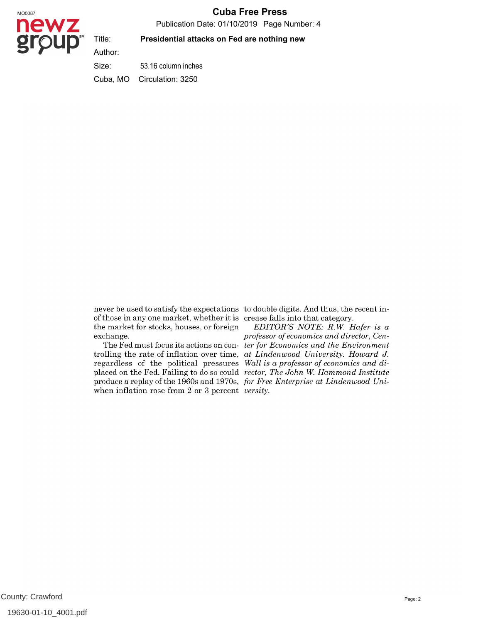#### MO0087 **Cuba Free Press**

Publication Date: 01/10/2019 Page Number: 4

# newz

Title: Author:

#### **Presidential attacks on Fed are nothing new**

53.16 column inches Size: Cuba, MO Circulation: 3250

of those in any one market, whether it is crease falls into that category. the market for stocks, houses, or foreign exchange.

trolling the rate of inflation over time, at Lindenwood University. Howard J. regardless of the political pressures Wall is a professor of economics and diplaced on the Fed. Failing to do so could rector, The John W. Hammond Institute produce a replay of the 1960s and 1970s, for Free Enterprise at Lindenwood Uniwhen inflation rose from  $2$  or  $3$  percent versity.

never be used to satisfy the expectations to double digits. And thus, the recent in-

The Fed must focus its actions on con- *ter for Economics and the Environment* EDITOR'S NOTE: R.W. Hafer is a professor of economics and director, Cen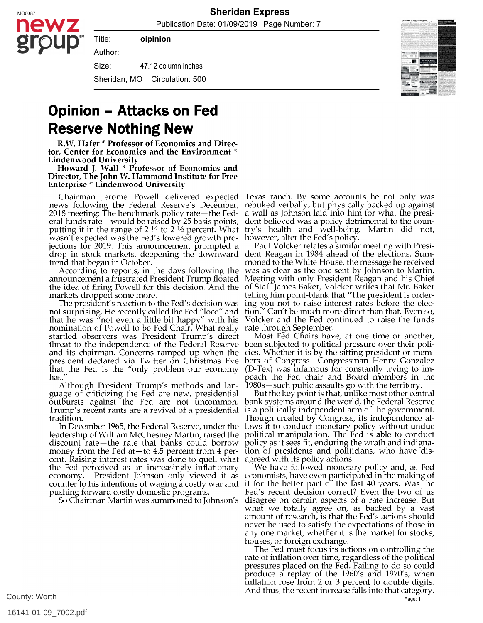MO0087 **Sheridan Express**

Publication Date: 01/09/2019 Page Number: 7



**oipinion**

Title:

47.12 column inches Author: Size: Sheridan, MO Circulation: 500

### **Opinion - Attacks on Fed Reserve Nothing New**

R.W. Hafer \* Professor of Economics and Director, Center for Economics and the Environment \* Lindenwood University

Howard J. Wall \* Professor of Economics and Director, The John W. Hammond Institute for Free Enterprise \* Lindenwood University

news following the Federal Reserve's December, 2018 meeting: The benchmark policy rate—the Federal funds rate—would be raised by 25 basis points, putting it in the range of 2  $\frac{1}{4}$  to 2  $\frac{1}{2}$  percent. What wasn't expected was the Fed's lowered growth projections for 2019. This announcement prompted a drop in stock markets, deepening the downward trend that began in October.

According to reports, in the days following the announcement a frustrated President Trump floated the idea of firing Powell for this decision. And the markets dropped some more.

The president's reaction to the Fed's decision was not surprising. He recently called the Fed "loco" and that he was "not even a little bit happy" with his nomination of Powell to be Fed Chair. What really startled observers was President Trump's direct threat to the independence of the Federal Reserve and its chairman. Concerns ramped up when the president declared via Twitter on Christmas Eve that the Fed is the "only problem our economy has."

Although President Trump's methods and language of criticizing the Fed are new, presidential outbursts against the Fed are not uncommon. Trump's recent rants are a revival of a presidential tradition.

In December 1965, the Federal Reserve, under the leadership of William McChesney Martin, raised the discount rate—the rate that banks could borrow money from the Fed at $-$ to 4.5 percent from 4 percent. Raising interest rates was done to quell what the Fed perceived as an increasingly inflationary economy. President Johnson only viewed it as economists, have even participated in the making of counter to his intentions of waging a costly war and pushing forward costly domestic programs.

So Chairman Martin was summoned to Johnson's

Chairman Jerome Powell delivered expected Texas ranch. By some accounts he not only was rebuked verbally, but physically backed up against a wall as Johnson laid into him for what the president believed was a policy detrimental to the country's health and well-being. Martin did not, however, alter the Fed's policy.

Paul Volcker relates a similar meeting with President Reagan in 1984 ahead of the elections. Summoned to the White House, the message he received was as clear as the one sent by Johnson to Martin. Meeting with only President Reagan and his Chief of Staff James Baker, Volcker writes that Mr. Baker telling him point-blank that "The president is ordering you not to raise interest rates before the election." Can't be much more direct than that. Even so, Volcker and the Fed continued to raise the funds rate through September.

Most Fed Chairs have, at one time or another, been subjected to political pressure over their policies. Whether it is by the sitting president or members of Congress—Congressman Henry Gonzalez (D-Tex) was infamous for constantly trying to impeach the Fed chair and Board members in the  $1980s$  – such pubic assaults go with the territory.

But the key point is that, unlike most other central bank systems around the world, the Federal Reserve is a politically independent arm of the government. Though created by Congress, its independence allows it to conduct monetary policy without undue political manipulation. The Fed is able to conduct policy as it sees fit, enduring the wrath and indignation of presidents and politicians, who have disagreed with its policy actions.

We have followed monetary policy and, as Fed it for the better part of the last 40 years. Was the Fed's recent decision correct? Even the two of us disagree on certain aspects of a rate increase. But what we totally agree on, as backed by a vast amount of research, is that the Fed's actions should never be used to satisfy the expectations of those in any one market, whether it is the market for stocks, houses, or foreign exchange.

The Fed must focus its actions on controlling the rate of inflation over time, regardless of the political pressures placed on the Fed. Failing to do so could produce a replay of the 1960's and 1970's, when inflation rose from 2 or 3 percent to double digits. And thus, the recent increase falls into that category.

County: Worth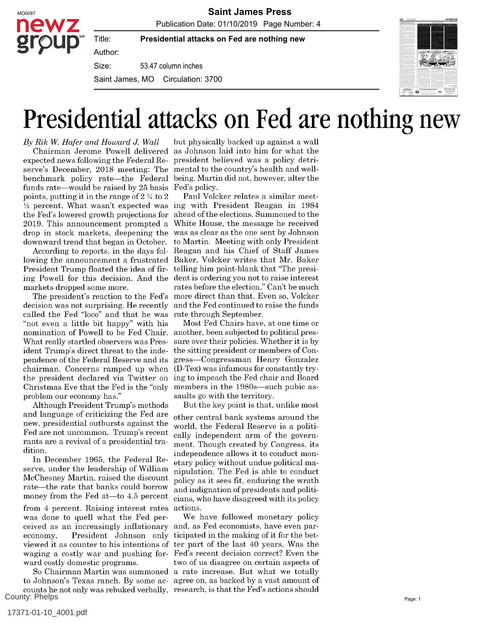

Publication Date: 01/10/2019 Page Number: 4



**Presidential attacks on Fed are nothing new**

Author:

Title:

53.47 column inches Size:

Saint James, MO Circulation: 3700



## Presidential attacks on Fed are nothing new

By Rik W. Hafer and Howard J. Wall expected news following the Federal Re-president believed was a policy detriserve's December, 2018 meeting: The mental to the country's health and wellbenchmark policy rate—the Federal funds rate—would be raised by 25 basis points, putting it in the range of 2 ¼ to 2 ½ percent. What wasn't expected was ing with President Reagan in 1984 the Fed's lowered growth projections for ahead of the elections. Summoned to the 2019. This announcement prompted a drop in stock markets, deepening the downward trend that began in October.

According to reports, in the days following the announcement a frustrated Baker, Volcker writes that Mr. Baker President Trump floated the idea of fir- telling him point-blank that "The presiing Powell for this decision. And the dent is ordering you not to raise interest markets dropped some more.

decision was not surprising. He recently called the Fed "loco" and that he was rate through September. "not even a little bit happy" with his nomination of Powell to be Fed Chair. another, been subjected to political pres-What really startled observers was President Trump's direct threat to the inde-the sitting president or members of Conpendence of the Federal Reserve and its gress—Congressman Henry Gonzalez chairman. Concerns ramped up when the president declared via Twitter on ing to impeach the Fed chair and Board Christmas Eve that the Fed is the "only problem our economy has."

Although President Trump's methods and language of criticizing the Fed are new, presidential outbursts against the Fed are not uncommon. Trump's recent rants are a revival of a presidential tradition.

In December 1965, the Federal Reserve, under the leadership of William McChesney Martin, raised the discount rate—the rate that banks could borrow money from the Fed at  $-$  to 4.5 percent

from 4 percent. Raising interest rates was done to quell what the Fed perceived as an increasingly inflationary and, as Fed economists, have even pareconomy. President Johnson only ticipated in the making of it for the betviewed it as counter to his intentions of ter part of the last 40 years. Was the waging a costly war and pushing for-Fed's recent decision correct? Even the ward costly domestic programs.

to Johnson's Texas ranch. By some ac-agree on, as backed by a vast amount of counts he not only was rebuked verbally, research, is that the Fed's actions should County: Phelps

Chairman Jerome Powell delivered as Johnson laid into him for what the but physically backed up against a wall being. Martin did not, however, alter the Fed's policy.

The president's reaction to the Fed's more direct than that. Even so, Volcker Paul Volcker relates a similar meet-White House, the message he received was as clear as the one sent by Johnson to Martin. Meeting with only President Reagan and his Chief of Staff James rates before the election." Can't be much and the Fed continued to raise the funds

Most Fed Chairs have, at one time or sure over their policies. Whether it is by (D-Tex) was infamous for constantly trymembers in the 1980s—such pubic assaults go with the territory.

But the key point is that, unlike most other central bank systems around the world, the Federal Reserve is a politically independent arm of the government. Though created by Congress, its independence allows it to conduct monetary policy without undue political manipulation. The Fed is able to conduct policy as it sees fit, enduring the wrath and indignation of presidents and politicians, who have disagreed with its policy actions.

So Chairman Martin was summoned a rate increase. But what we totally We have followed monetary policy two of us disagree on certain aspects of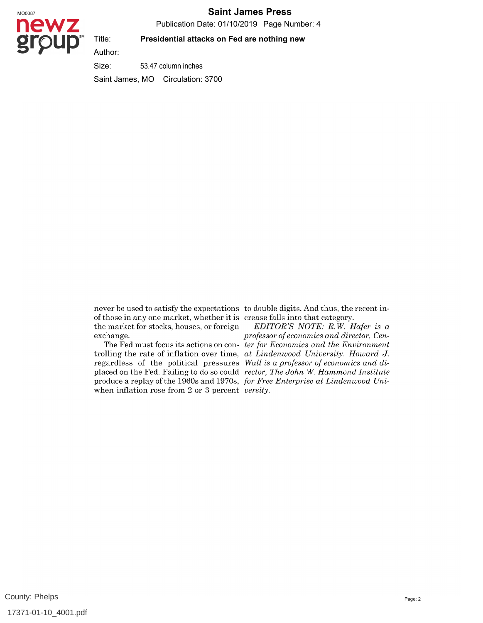#### MO0087 **Saint James Press**

Publication Date: 01/10/2019 Page Number: 4



#### **Presidential attacks on Fed are nothing new**

53.47 column inches Size: Saint James, MO Circulation: 3700

of those in any one market, whether it is crease falls into that category. the market for stocks, houses, or foreign exchange.

trolling the rate of inflation over time, at Lindenwood University. Howard J. regardless of the political pressures Wall is a professor of economics and diplaced on the Fed. Failing to do so could rector, The John W. Hammond Institute produce a replay of the 1960s and 1970s, *for Free Enterprise at Lindenwood Uni*when inflation rose from 2 or 3 percent *versity*.

never be used to satisfy the expectations to double digits. And thus, the recent in-

The Fed must focus its actions on con- *ter for Economics and the Environment* EDITOR'S NOTE: R.W. Hafer is a professor of economics and director, Cen-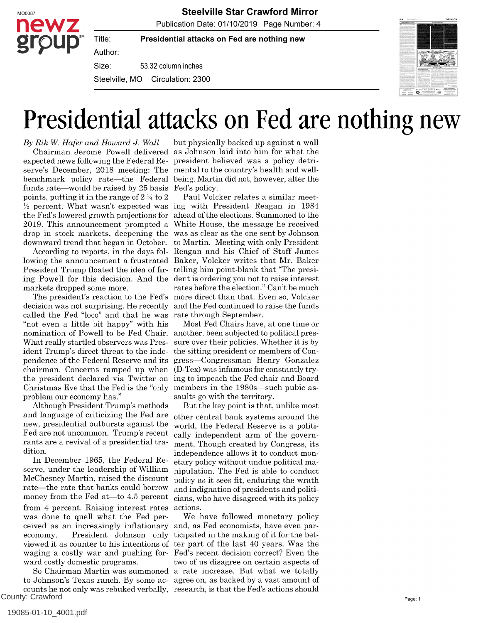

MO0087 **Steelville Star Crawford Mirror**

Publication Date: 01/10/2019 Page Number: 4

**Presidential attacks on Fed are nothing new**

Author:

Title:

53.32 column inches Size:

Steelville, MO Circulation: 2300



## Presidential attacks on Fed are nothing new

By Rik W. Hafer and Howard J. Wall expected news following the Federal Re-president believed was a policy detriserve's December, 2018 meeting: The benchmark policy rate—the Federal funds rate—would be raised by 25 basis points, putting it in the range of 2 ¼ to 2 ½ percent. What wasn't expected was ing with President Reagan in 1984 the Fed's lowered growth projections for ahead of the elections. Summoned to the 2019. This announcement prompted a drop in stock markets, deepening the downward trend that began in October.

According to reports, in the days following the announcement a frustrated Baker, Volcker writes that Mr. Baker President Trump floated the idea of fir- telling him point-blank that "The presiing Powell for this decision. And the dent is ordering you not to raise interest markets dropped some more.

decision was not surprising. He recently called the Fed "loco" and that he was rate through September. "not even a little bit happy" with his nomination of Powell to be Fed Chair. another, been subjected to political pres-What really startled observers was President Trump's direct threat to the independence of the Federal Reserve and its chairman. Concerns ramped up when the president declared via Twitter on ing to impeach the Fed chair and Board Christmas Eve that the Fed is the "only problem our economy has."

Although President Trump's methods and language of criticizing the Fed are new, presidential outbursts against the Fed are not uncommon. Trump's recent rants are a revival of a presidential tradition.

In December 1965, the Federal Reserve, under the leadership of William McChesney Martin, raised the discount rate—the rate that banks could borrow money from the Fed at-to  $4.5$  percent from 4 percent. Raising interest rates was done to quell what the Fed perceived as an increasingly inflationary and, as Fed economists, have even pareconomy. President Johnson only viewed it as counter to his intentions of ter part of the last 40 years. Was the waging a costly war and pushing for-Fed's recent decision correct? Even the ward costly domestic programs.

to Johnson's Texas ranch. By some ac-agree on, as backed by a vast amount of counts he not only was rebuked verbally, research, is that the Fed's actions should County: Crawford

Chairman Jerome Powell delivered as Johnson laid into him for what the but physically backed up against a wall mental to the country's health and wellbeing. Martin did not, however, alter the Fed's policy.

The president's reaction to the Fed's more direct than that. Even so, Volcker Paul Volcker relates a similar meet-White House, the message he received was as clear as the one sent by Johnson to Martin. Meeting with only President Reagan and his Chief of Staff James rates before the election." Can't be much and the Fed continued to raise the funds

> Most Fed Chairs have, at one time or sure over their policies. Whether it is by the sitting president or members of Congress—Congressman Henry Gonzalez (D-Tex) was infamous for constantly trymembers in the 1980s—such pubic assaults go with the territory.

> But the key point is that, unlike most other central bank systems around the world, the Federal Reserve is a politically independent arm of the government. Though created by Congress, its independence allows it to conduct monetary policy without undue political manipulation. The Fed is able to conduct policy as it sees fit, enduring the wrath and indignation of presidents and politicians, who have disagreed with its policy actions.

So Chairman Martin was summoned a rate increase. But what we totally We have followed monetary policy ticipated in the making of it for the bettwo of us disagree on certain aspects of